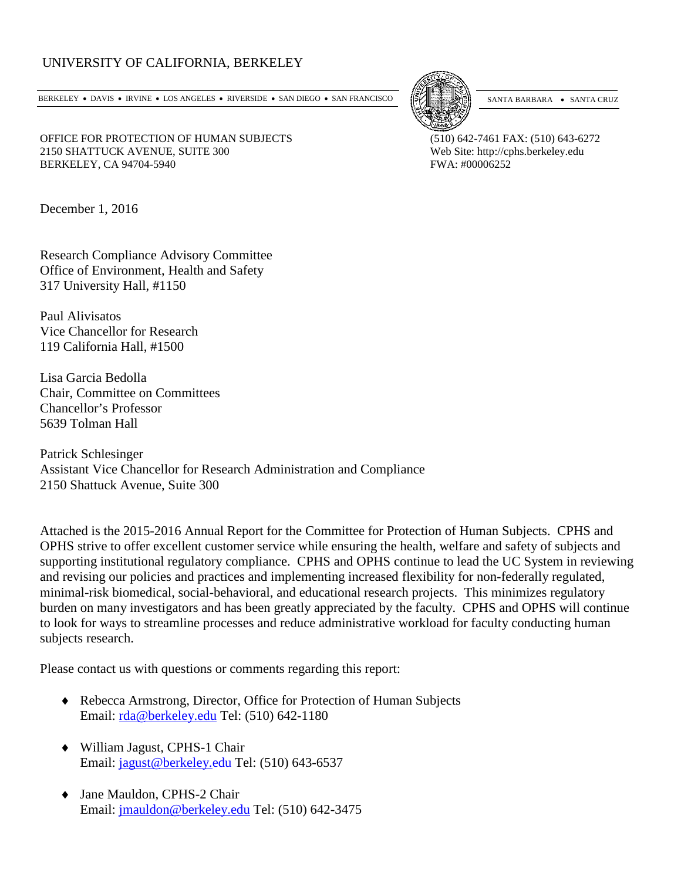## UNIVERSITY OF CALIFORNIA, BERKELEY

BERKELEY • DAVIS • IRVINE • LOS ANGELES • RIVERSIDE • SAN DIEGO • SAN FRANCISCO [5] SANTA BARBARA • SANTA CRUZ



OFFICE FOR PROTECTION OF HUMAN SUBJECTS (510) 642-7461 FAX: (510) 643-6272 2150 SHATTUCK AVENUE, SUITE 300 Web Site: http://cphs.berkeley.edu BERKELEY, CA 94704-5940 **FWA: #00006252** 

December 1, 2016

Research Compliance Advisory Committee Office of Environment, Health and Safety 317 University Hall, #1150

Paul Alivisatos Vice Chancellor for Research 119 California Hall, #1500

Lisa Garcia Bedolla Chair, Committee on Committees Chancellor's Professor 5639 Tolman Hall

Patrick Schlesinger Assistant Vice Chancellor for Research Administration and Compliance 2150 Shattuck Avenue, Suite 300

Attached is the 2015-2016 Annual Report for the Committee for Protection of Human Subjects. CPHS and OPHS strive to offer excellent customer service while ensuring the health, welfare and safety of subjects and supporting institutional regulatory compliance. CPHS and OPHS continue to lead the UC System in reviewing and revising our policies and practices and implementing increased flexibility for non-federally regulated, minimal-risk biomedical, social-behavioral, and educational research projects. This minimizes regulatory burden on many investigators and has been greatly appreciated by the faculty. CPHS and OPHS will continue to look for ways to streamline processes and reduce administrative workload for faculty conducting human subjects research.

Please contact us with questions or comments regarding this report:

- ♦ Rebecca Armstrong, Director, Office for Protection of Human Subjects Email: [rda@berkeley.edu](mailto:rda@berkeley.edu) Tel: (510) 642-1180
- ♦ William Jagust, CPHS-1 Chair Email: [jagust@berkeley.edu](mailto:jagust@berkeley.edu) Tel: (510) 643-6537
- ♦ Jane Mauldon, CPHS-2 Chair Email: [jmauldon@berkeley.edu](mailto:jmauldon@berkeley.edu) Tel: (510) 642-3475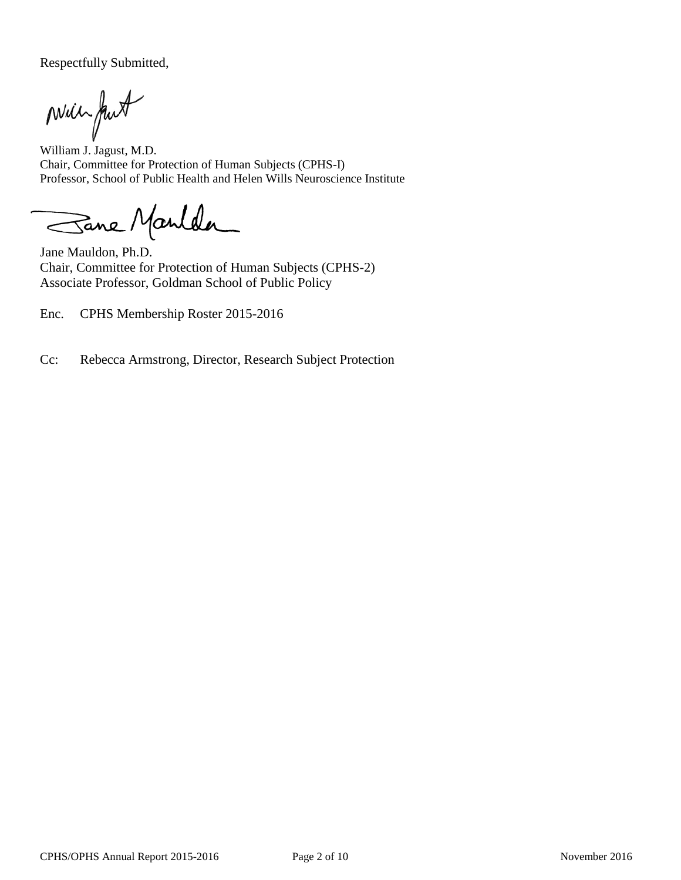Respectfully Submitted,

Mill fut

William J. Jagust, M.D. Chair, Committee for Protection of Human Subjects (CPHS-I) Professor, School of Public Health and Helen Wills Neuroscience Institute

Sane Manlda

Jane Mauldon, Ph.D. Chair, Committee for Protection of Human Subjects (CPHS-2) Associate Professor, Goldman School of Public Policy

Enc. CPHS Membership Roster 2015-2016

Cc: Rebecca Armstrong, Director, Research Subject Protection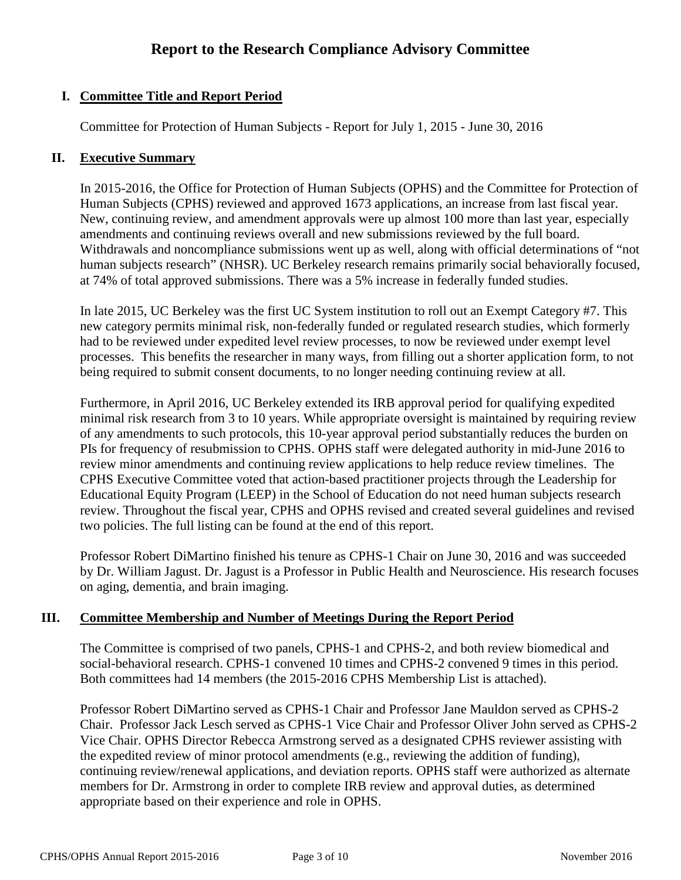# **I. Committee Title and Report Period**

Committee for Protection of Human Subjects - Report for July 1, 2015 - June 30, 2016

#### **II. Executive Summary**

In 2015-2016, the Office for Protection of Human Subjects (OPHS) and the Committee for Protection of Human Subjects (CPHS) reviewed and approved 1673 applications, an increase from last fiscal year. New, continuing review, and amendment approvals were up almost 100 more than last year, especially amendments and continuing reviews overall and new submissions reviewed by the full board. Withdrawals and noncompliance submissions went up as well, along with official determinations of "not human subjects research" (NHSR). UC Berkeley research remains primarily social behaviorally focused, at 74% of total approved submissions. There was a 5% increase in federally funded studies.

In late 2015, UC Berkeley was the first UC System institution to roll out an Exempt Category #7. This new category permits minimal risk, non-federally funded or regulated research studies, which formerly had to be reviewed under expedited level review processes, to now be reviewed under exempt level processes. This benefits the researcher in many ways, from filling out a shorter application form, to not being required to submit consent documents, to no longer needing continuing review at all.

Furthermore, in April 2016, UC Berkeley extended its IRB approval period for qualifying expedited minimal risk research from 3 to 10 years. While appropriate oversight is maintained by requiring review of any amendments to such protocols, this 10-year approval period substantially reduces the burden on PIs for frequency of resubmission to CPHS. OPHS staff were delegated authority in mid-June 2016 to review minor amendments and continuing review applications to help reduce review timelines. The CPHS Executive Committee voted that action-based practitioner projects through the Leadership for Educational Equity Program (LEEP) in the School of Education do not need human subjects research review. Throughout the fiscal year, CPHS and OPHS revised and created several guidelines and revised two policies. The full listing can be found at the end of this report.

Professor Robert DiMartino finished his tenure as CPHS-1 Chair on June 30, 2016 and was succeeded by Dr. William Jagust. Dr. Jagust is a Professor in Public Health and Neuroscience. His research focuses on aging, dementia, and brain imaging.

## **III. Committee Membership and Number of Meetings During the Report Period**

The Committee is comprised of two panels, CPHS-1 and CPHS-2, and both review biomedical and social-behavioral research. CPHS-1 convened 10 times and CPHS-2 convened 9 times in this period. Both committees had 14 members (the 2015-2016 CPHS Membership List is attached).

Professor Robert DiMartino served as CPHS-1 Chair and Professor Jane Mauldon served as CPHS-2 Chair. Professor Jack Lesch served as CPHS-1 Vice Chair and Professor Oliver John served as CPHS-2 Vice Chair. OPHS Director Rebecca Armstrong served as a designated CPHS reviewer assisting with the expedited review of minor protocol amendments (e.g., reviewing the addition of funding), continuing review/renewal applications, and deviation reports. OPHS staff were authorized as alternate members for Dr. Armstrong in order to complete IRB review and approval duties, as determined appropriate based on their experience and role in OPHS.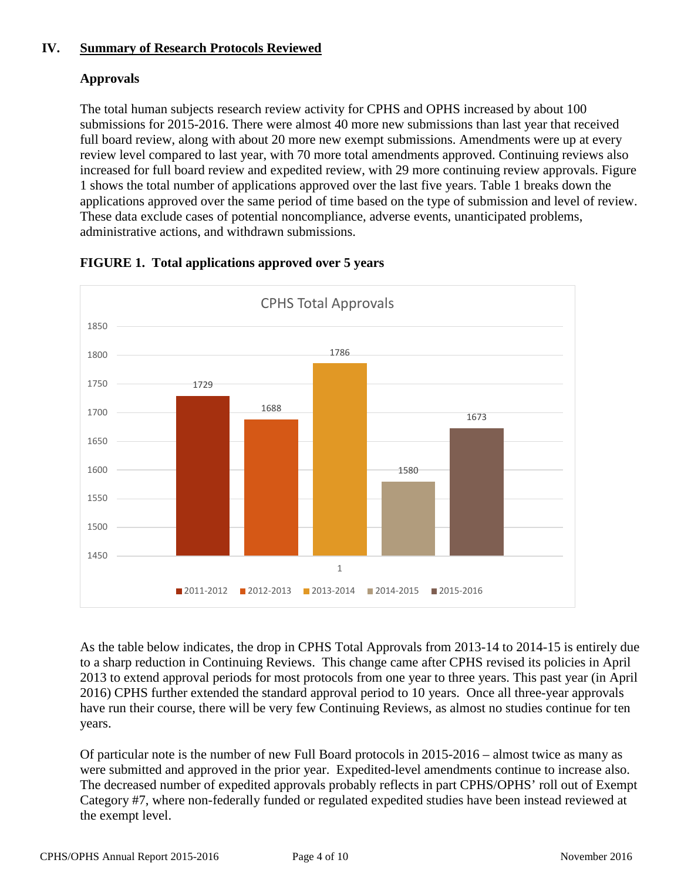# **IV. Summary of Research Protocols Reviewed**

# **Approvals**

The total human subjects research review activity for CPHS and OPHS increased by about 100 submissions for 2015-2016. There were almost 40 more new submissions than last year that received full board review, along with about 20 more new exempt submissions. Amendments were up at every review level compared to last year, with 70 more total amendments approved. Continuing reviews also increased for full board review and expedited review, with 29 more continuing review approvals. Figure 1 shows the total number of applications approved over the last five years. Table 1 breaks down the applications approved over the same period of time based on the type of submission and level of review. These data exclude cases of potential noncompliance, adverse events, unanticipated problems, administrative actions, and withdrawn submissions.



# **FIGURE 1. Total applications approved over 5 years**

As the table below indicates, the drop in CPHS Total Approvals from 2013-14 to 2014-15 is entirely due to a sharp reduction in Continuing Reviews. This change came after CPHS revised its policies in April 2013 to extend approval periods for most protocols from one year to three years. This past year (in April 2016) CPHS further extended the standard approval period to 10 years. Once all three-year approvals have run their course, there will be very few Continuing Reviews, as almost no studies continue for ten years.

Of particular note is the number of new Full Board protocols in 2015-2016 – almost twice as many as were submitted and approved in the prior year. Expedited-level amendments continue to increase also. The decreased number of expedited approvals probably reflects in part CPHS/OPHS' roll out of Exempt Category #7, where non-federally funded or regulated expedited studies have been instead reviewed at the exempt level.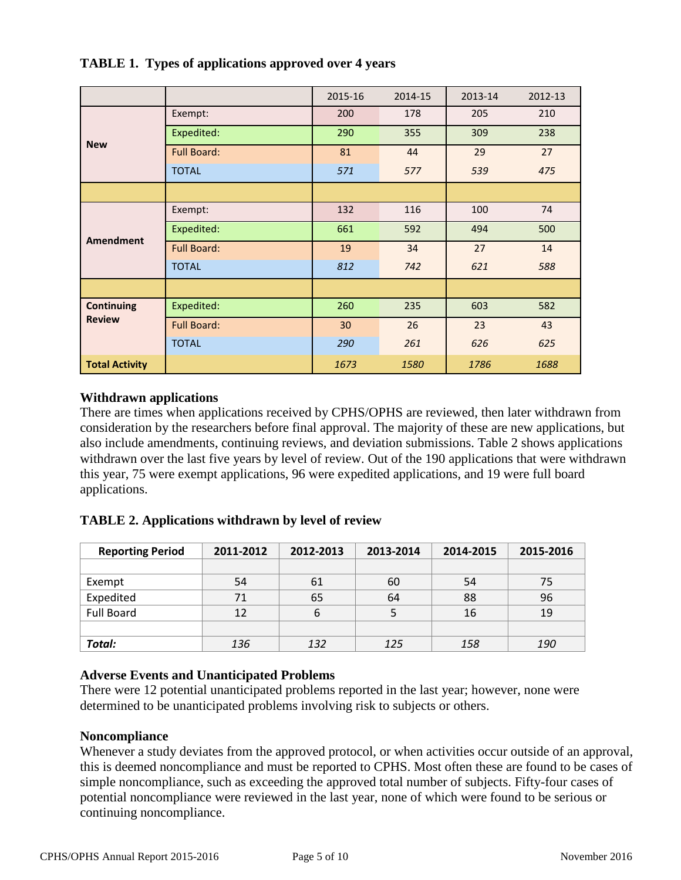|                       |                    | 2015-16 | 2014-15 | 2013-14 | 2012-13 |
|-----------------------|--------------------|---------|---------|---------|---------|
| <b>New</b>            | Exempt:            | 200     | 178     | 205     | 210     |
|                       | Expedited:         | 290     | 355     | 309     | 238     |
|                       | <b>Full Board:</b> | 81      | 44      | 29      | 27      |
|                       | <b>TOTAL</b>       | 571     | 577     | 539     | 475     |
|                       |                    |         |         |         |         |
|                       | Exempt:            | 132     | 116     | 100     | 74      |
| <b>Amendment</b>      | Expedited:         | 661     | 592     | 494     | 500     |
|                       | <b>Full Board:</b> | 19      | 34      | 27      | 14      |
|                       | <b>TOTAL</b>       | 812     | 742     | 621     | 588     |
|                       |                    |         |         |         |         |
| <b>Continuing</b>     | Expedited:         | 260     | 235     | 603     | 582     |
| <b>Review</b>         | <b>Full Board:</b> | 30      | 26      | 23      | 43      |
|                       | <b>TOTAL</b>       | 290     | 261     | 626     | 625     |
| <b>Total Activity</b> |                    | 1673    | 1580    | 1786    | 1688    |

### **TABLE 1. Types of applications approved over 4 years**

## **Withdrawn applications**

There are times when applications received by CPHS/OPHS are reviewed, then later withdrawn from consideration by the researchers before final approval. The majority of these are new applications, but also include amendments, continuing reviews, and deviation submissions. Table 2 shows applications withdrawn over the last five years by level of review. Out of the 190 applications that were withdrawn this year, 75 were exempt applications, 96 were expedited applications, and 19 were full board applications.

## **TABLE 2. Applications withdrawn by level of review**

| <b>Reporting Period</b> | 2012-2013<br>2011-2012 |     | 2013-2014 | 2014-2015 | 2015-2016  |  |
|-------------------------|------------------------|-----|-----------|-----------|------------|--|
|                         |                        |     |           |           |            |  |
| Exempt                  | 54                     | 61  | 60        | 54        | 75         |  |
| Expedited               | 71                     | 65  | 64        | 88        | 96         |  |
| <b>Full Board</b>       | 12                     | 6   |           | 16        | 19         |  |
|                         |                        |     |           |           |            |  |
| Total:                  | 136                    | 132 | 125       | 158       | <i>190</i> |  |

#### **Adverse Events and Unanticipated Problems**

There were 12 potential unanticipated problems reported in the last year; however, none were determined to be unanticipated problems involving risk to subjects or others.

#### **Noncompliance**

Whenever a study deviates from the approved protocol, or when activities occur outside of an approval, this is deemed noncompliance and must be reported to CPHS. Most often these are found to be cases of simple noncompliance, such as exceeding the approved total number of subjects. Fifty-four cases of potential noncompliance were reviewed in the last year, none of which were found to be serious or continuing noncompliance.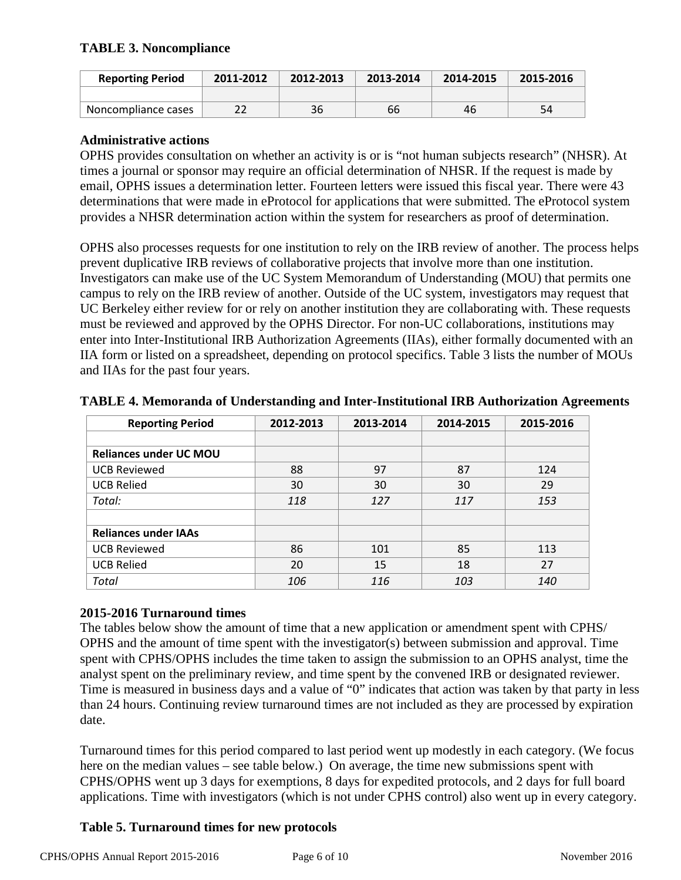## **TABLE 3. Noncompliance**

| <b>Reporting Period</b> | 2011-2012 | 2012-2013 | 2013-2014 | 2014-2015 | 2015-2016 |
|-------------------------|-----------|-----------|-----------|-----------|-----------|
|                         |           |           |           |           |           |
| Noncompliance cases     |           | 36        | 66        | 46        | 54        |

#### **Administrative actions**

OPHS provides consultation on whether an activity is or is "not human subjects research" (NHSR). At times a journal or sponsor may require an official determination of NHSR. If the request is made by email, OPHS issues a determination letter. Fourteen letters were issued this fiscal year. There were 43 determinations that were made in eProtocol for applications that were submitted. The eProtocol system provides a NHSR determination action within the system for researchers as proof of determination.

OPHS also processes requests for one institution to rely on the IRB review of another. The process helps prevent duplicative IRB reviews of collaborative projects that involve more than one institution. Investigators can make use of the UC System Memorandum of Understanding (MOU) that permits one campus to rely on the IRB review of another. Outside of the UC system, investigators may request that UC Berkeley either review for or rely on another institution they are collaborating with. These requests must be reviewed and approved by the OPHS Director. For non-UC collaborations, institutions may enter into Inter-Institutional IRB Authorization Agreements (IIAs), either formally documented with an IIA form or listed on a spreadsheet, depending on protocol specifics. Table 3 lists the number of MOUs and IIAs for the past four years.

| <b>Reporting Period</b>       | 2012-2013 | 2013-2014 | 2014-2015 | 2015-2016 |
|-------------------------------|-----------|-----------|-----------|-----------|
|                               |           |           |           |           |
| <b>Reliances under UC MOU</b> |           |           |           |           |
| <b>UCB Reviewed</b>           | 88        | 97        | 87        | 124       |
| <b>UCB Relied</b>             | 30        | 30        | 30        | 29        |
| Total:                        | 118       | 127       | 117       | 153       |
|                               |           |           |           |           |
| <b>Reliances under IAAs</b>   |           |           |           |           |
| <b>UCB Reviewed</b>           | 86        | 101       | 85        | 113       |
| <b>UCB Relied</b>             | 20        | 15        | 18        | 27        |
| Total                         | 106       | 116       | 103       | 140       |

**TABLE 4. Memoranda of Understanding and Inter-Institutional IRB Authorization Agreements**

#### **2015-2016 Turnaround times**

The tables below show the amount of time that a new application or amendment spent with CPHS/ OPHS and the amount of time spent with the investigator(s) between submission and approval. Time spent with CPHS/OPHS includes the time taken to assign the submission to an OPHS analyst, time the analyst spent on the preliminary review, and time spent by the convened IRB or designated reviewer. Time is measured in business days and a value of "0" indicates that action was taken by that party in less than 24 hours. Continuing review turnaround times are not included as they are processed by expiration date.

Turnaround times for this period compared to last period went up modestly in each category. (We focus here on the median values – see table below.) On average, the time new submissions spent with CPHS/OPHS went up 3 days for exemptions, 8 days for expedited protocols, and 2 days for full board applications. Time with investigators (which is not under CPHS control) also went up in every category.

## **Table 5. Turnaround times for new protocols**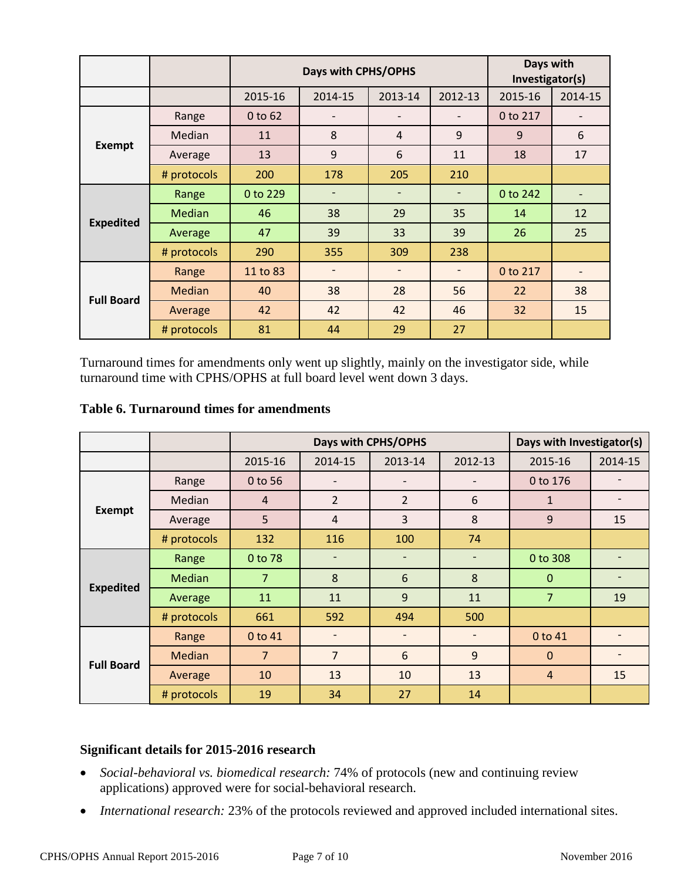|                   |             |                                          | Days with CPHS/OPHS | Days with<br>Investigator(s) |                          |          |         |
|-------------------|-------------|------------------------------------------|---------------------|------------------------------|--------------------------|----------|---------|
|                   |             | 2013-14<br>2012-13<br>2015-16<br>2014-15 |                     |                              |                          | 2015-16  | 2014-15 |
|                   | Range       | $0$ to $62$                              |                     | $\overline{a}$               |                          | 0 to 217 |         |
|                   | Median      | 11                                       | 8                   | $\overline{4}$               | 9                        | 9        | 6       |
| <b>Exempt</b>     | Average     | 13                                       | 9                   | 6                            | 11                       | 18       | 17      |
|                   | # protocols | 200                                      | 178                 | 205                          | 210                      |          |         |
|                   | Range       | 0 to 229                                 |                     | $\qquad \qquad -$            | $\overline{\phantom{0}}$ | 0 to 242 |         |
|                   | Median      | 46                                       | 38                  | 29                           | 35                       | 14       | 12      |
| <b>Expedited</b>  | Average     | 47                                       | 39                  | 33                           | 39                       | 26       | 25      |
|                   | # protocols | 290                                      | 355                 | 309                          | 238                      |          |         |
| <b>Full Board</b> | Range       | 11 to 83                                 |                     |                              |                          | 0 to 217 |         |
|                   | Median      | 40                                       | 38                  | 28                           | 56                       | 22       | 38      |
|                   | Average     | 42                                       | 42                  | 42                           | 46                       | 32       | 15      |
|                   | # protocols | 81                                       | 44                  | 29                           | 27                       |          |         |

Turnaround times for amendments only went up slightly, mainly on the investigator side, while turnaround time with CPHS/OPHS at full board level went down 3 days.

#### **Table 6. Turnaround times for amendments**

|                   |               | Days with CPHS/OPHS |                              |                          |         | Days with Investigator(s) |         |
|-------------------|---------------|---------------------|------------------------------|--------------------------|---------|---------------------------|---------|
|                   |               | 2015-16             | 2014-15                      | 2013-14                  | 2012-13 | 2015-16                   | 2014-15 |
|                   | Range         | 0 to 56             |                              |                          |         | 0 to 176                  |         |
|                   | Median        | $\overline{4}$      | $\overline{2}$               | $\overline{2}$           | 6       | $\mathbf{1}$              |         |
| <b>Exempt</b>     | Average       | 5                   | $\overline{4}$               | $\overline{3}$           | 8       | 9                         | 15      |
|                   | # protocols   | 132                 | 116                          | 100                      | 74      |                           |         |
| <b>Expedited</b>  | Range         | 0 to 78             | $\overline{\phantom{0}}$     | $\overline{\phantom{a}}$ |         | 0 to 308                  |         |
|                   | <b>Median</b> | $\overline{7}$      | 8                            | 6                        | 8       | $\Omega$                  |         |
|                   | Average       | 11                  | 11                           | 9                        | 11      | $\overline{7}$            | 19      |
|                   | # protocols   | 661                 | 592                          | 494                      | 500     |                           |         |
|                   | Range         | 0 to 41             | $\qquad \qquad \blacksquare$ | $\overline{\phantom{a}}$ |         | 0 to 41                   |         |
| <b>Full Board</b> | <b>Median</b> | $\overline{7}$      | $\overline{7}$               | $6\phantom{1}6$          | 9       | $\mathbf{0}$              |         |
|                   | Average       | 10                  | 13                           | 10                       | 13      | $\overline{4}$            | 15      |
|                   | # protocols   | 19                  | 34                           | 27                       | 14      |                           |         |

# **Significant details for 2015-2016 research**

- *Social-behavioral vs. biomedical research:* 74% of protocols (new and continuing review applications) approved were for social-behavioral research.
- *International research:* 23% of the protocols reviewed and approved included international sites.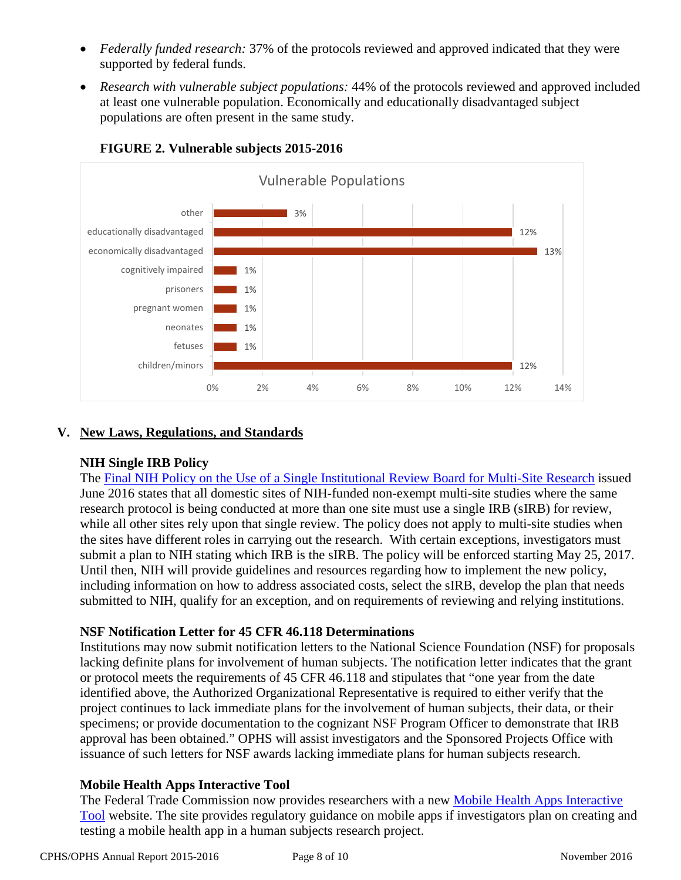- *Federally funded research:* 37% of the protocols reviewed and approved indicated that they were supported by federal funds.
- *Research with vulnerable subject populations:* 44% of the protocols reviewed and approved included at least one vulnerable population. Economically and educationally disadvantaged subject populations are often present in the same study.



# **FIGURE 2. Vulnerable subjects 2015-2016**

## **V. New Laws, Regulations, and Standards**

## **NIH Single IRB Policy**

The [Final NIH Policy on the Use of a Single Institutional Review Board for Multi-Site Research](https://www.federalregister.gov/articles/2016/06/21/2016-14513/policy-on-the-use-of-a-single-institutional-review-board-for-multi-site-research) issued June 2016 states that all domestic sites of NIH-funded non-exempt multi-site studies where the same research protocol is being conducted at more than one site must use a single IRB (sIRB) for review, while all other sites rely upon that single review. The policy does not apply to multi-site studies when the sites have different roles in carrying out the research. With certain exceptions, investigators must submit a plan to NIH stating which IRB is the sIRB. The policy will be enforced starting May 25, 2017. Until then, NIH will provide guidelines and resources regarding how to implement the new policy, including information on how to address associated costs, select the sIRB, develop the plan that needs submitted to NIH, qualify for an exception, and on requirements of reviewing and relying institutions.

## **NSF Notification Letter for 45 CFR 46.118 Determinations**

Institutions may now submit notification letters to the National Science Foundation (NSF) for proposals lacking definite plans for involvement of human subjects. The notification letter indicates that the grant or protocol meets the requirements of 45 CFR 46.118 and stipulates that "one year from the date identified above, the Authorized Organizational Representative is required to either verify that the project continues to lack immediate plans for the involvement of human subjects, their data, or their specimens; or provide documentation to the cognizant NSF Program Officer to demonstrate that IRB approval has been obtained." OPHS will assist investigators and the Sponsored Projects Office with issuance of such letters for NSF awards lacking immediate plans for human subjects research.

## **Mobile Health Apps Interactive Tool**

The Federal Trade Commission now provides researchers with a new [Mobile Health Apps Interactive](https://www.ftc.gov/tips-advice/business-center/guidance/mobile-health-apps-interactive-tool)  [Tool](https://www.ftc.gov/tips-advice/business-center/guidance/mobile-health-apps-interactive-tool) website. The site provides regulatory guidance on mobile apps if investigators plan on creating and testing a mobile health app in a human subjects research project.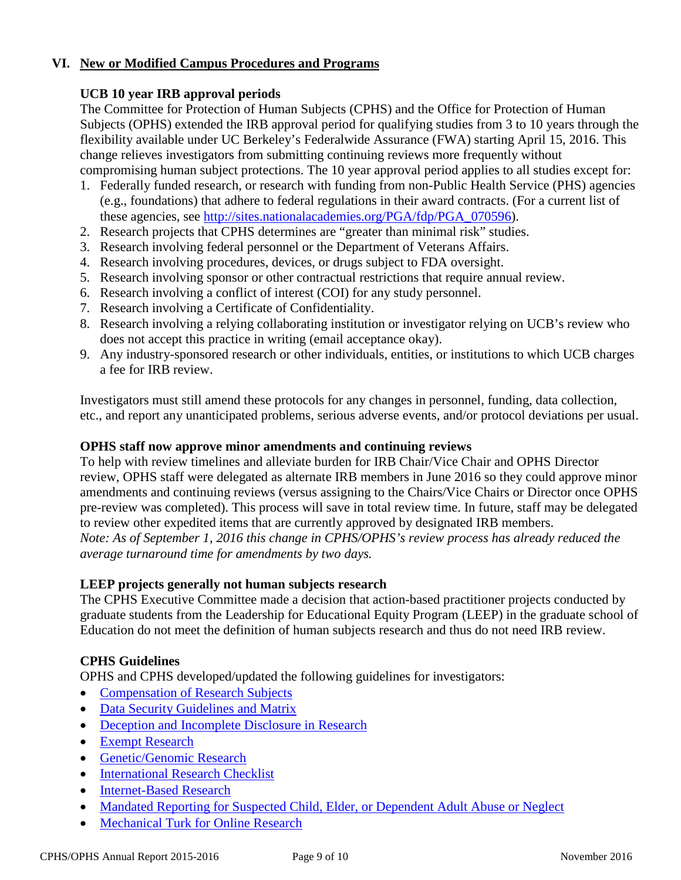## **VI. New or Modified Campus Procedures and Programs**

### **UCB 10 year IRB approval periods**

The Committee for Protection of Human Subjects (CPHS) and the Office for Protection of Human Subjects (OPHS) extended the IRB approval period for qualifying studies from 3 to 10 years through the flexibility available under UC Berkeley's Federalwide Assurance (FWA) starting April 15, 2016. This change relieves investigators from submitting continuing reviews more frequently without compromising human subject protections. The 10 year approval period applies to all studies except for:

- 1. Federally funded research, or research with funding from non-Public Health Service (PHS) agencies (e.g., foundations) that adhere to federal regulations in their award contracts. (For a current list of these agencies, see [http://sites.nationalacademies.org/PGA/fdp/PGA\\_070596\)](http://sites.nationalacademies.org/PGA/fdp/PGA_070596).
- 2. Research projects that CPHS determines are "greater than minimal risk" studies.
- 3. Research involving federal personnel or the Department of Veterans Affairs.
- 4. Research involving procedures, devices, or drugs subject to FDA oversight.
- 5. Research involving sponsor or other contractual restrictions that require annual review.
- 6. Research involving a conflict of interest (COI) for any study personnel.
- 7. Research involving a Certificate of Confidentiality.
- 8. Research involving a relying collaborating institution or investigator relying on UCB's review who does not accept this practice in writing (email acceptance okay).
- 9. Any industry-sponsored research or other individuals, entities, or institutions to which UCB charges a fee for IRB review.

Investigators must still amend these protocols for any changes in personnel, funding, data collection, etc., and report any unanticipated problems, serious adverse events, and/or protocol deviations per usual.

#### **OPHS staff now approve minor amendments and continuing reviews**

To help with review timelines and alleviate burden for IRB Chair/Vice Chair and OPHS Director review, OPHS staff were delegated as alternate IRB members in June 2016 so they could approve minor amendments and continuing reviews (versus assigning to the Chairs/Vice Chairs or Director once OPHS pre-review was completed). This process will save in total review time. In future, staff may be delegated to review other expedited items that are currently approved by designated IRB members. *Note: As of September 1, 2016 this change in CPHS/OPHS's review process has already reduced the average turnaround time for amendments by two days.*

#### **LEEP projects generally not human subjects research**

The CPHS Executive Committee made a decision that action-based practitioner projects conducted by graduate students from the Leadership for Educational Equity Program (LEEP) in the graduate school of Education do not meet the definition of human subjects research and thus do not need IRB review.

## **CPHS Guidelines**

OPHS and CPHS developed/updated the following guidelines for investigators:

- Compensation of [Research Subjects](http://cphs.berkeley.edu/compensation.pdf)
- [Data Security Guidelines and Matrix](http://cphs.berkeley.edu/datasecurity.pdf)
- [Deception and Incomplete Disclosure in Research](http://cphs.berkeley.edu/deception.pdf)
- [Exempt Research](http://cphs.berkeley.edu/exempt.pdf)
- [Genetic/Genomic Research](http://cphs.berkeley.edu/genetic_genomic.pdf)
- [International Research Checklist](http://cphs.berkeley.edu/international_research_checklist.pdf)
- [Internet-Based Research](http://cphs.berkeley.edu/internet_research.pdf)
- [Mandated Reporting for Suspected Child, Elder, or Dependent Adult Abuse or Neglect](http://cphs.berkeley.edu/mandated_reporting.pdf)
- [Mechanical Turk for Online Research](http://cphs.berkeley.edu/mechanicalturk.pdf)